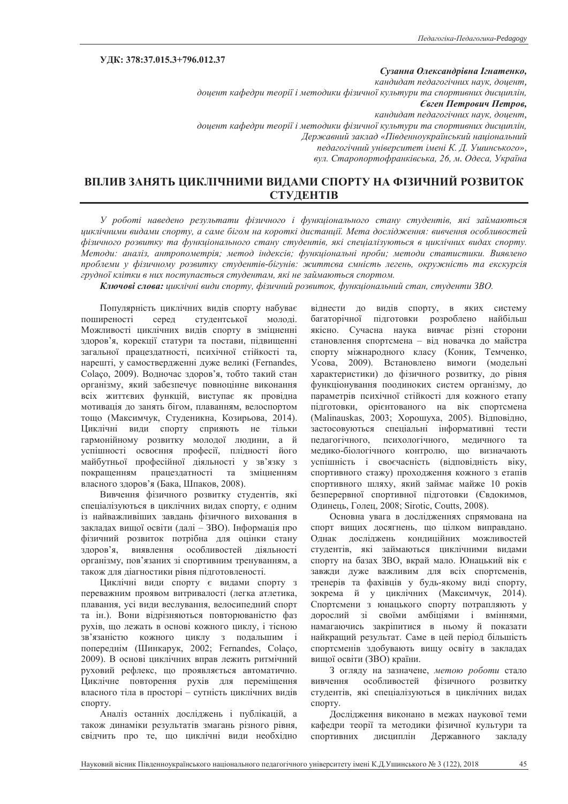# **ɍȾɄ: 378:37.015.3+796.012.37**

#### Сузанна Олександрівна Ігнатенко,

*ɤɚɧɞɢɞɚɬɩɟɞɚɝɨɝɿɱɧɢɯɧɚɭɤɞɨɰɟɧɬ,* доцент кафедри теорії і методики фізичної культури та спортивних дисциплін,  $\epsilon$ вген Петрович Петров, *ɤɚɧɞɢɞɚɬɩɟɞɚɝɨɝɿɱɧɢɯɧɚɭɤɞɨɰɟɧɬ,* доцент кафедри теорії і методики фізичної культури та спортивних дисииплін,  $\Lambda$ ержавний заклад «Південноукраїнський національний ледагогічний університет імені К. Л. Ушинського», вул. Старопортофранківська, 26, м. Одеса, Україна

# ВПЛИВ ЗАНЯТЬ ЦИКЛІЧНИМИ ВИДАМИ СПОРТУ НА ФІЗИЧНИЙ РОЗВИТОК **СТУДЕНТІВ**

У роботі наведено результати фізичного і функціонального стану студентів, які займаються циклічними видами спорту, а саме бігом на короткі дистанції. Мета дослідження: вивчення особливостей фізичного розвитку та функціонального стану студентів, які спеціалізуються в циклічних видах спорту. Методи: аналіз, антропометрія; метод індексів; функціональні проби; методи статистики. Виявлено проблеми у фізичному розвитку студентів-бігунів: життєва ємність легень, окружність та екскурсія грудної клітки в них поступається студентам, які не займаються спортом.

Ключові слова: циклічні види спорту, фізичний розвиток, функціональний стан, студенти ЗВО.

Популярність циклічних видів спорту набуває поширеності серед студентської молоді. Можливості циклічних видів спорту в зміцненні здоров'я, корекції статури та постави, підвищенні загальної працездатності, психічної стійкості та, нарешті, у самоствердженні дуже великі (Fernandes, Colaço, 2009). Водночас здоров'я, тобто такий стан організму, який забезпечує повноцінне виконання всіх життєвих функцій, виступає як провідна мотивація до занять бігом, плаванням, велоспортом тощо (Максимчук, Студеникна, Козирьова, 2014). Циклічні види спорту сприяють не тільки гармонійному розвитку молодої людини, а й успішності освоєння професії, плідності його майбутньої професійної діяльності у зв'язку з покращенням працездатності та зміцненням власного здоров'я (Бака, Шпаков, 2008).

Вивчення фізичного розвитку студентів, які спеціалізуються в циклічних видах спорту, є одним із найважливіших завдань фізичного виховання в закладах вищої освіти (далі – ЗВО). Інформація про фізичний розвиток потрібна для оцінки стану здоров'я, виявлення особливостей діяльності організму, пов'язаних зі спортивним тренуванням, а також для діагностики рівня підготовленості.

Циклічні види спорту є видами спорту з переважним проявом витривалості (легка атлетика, плавання, усі види веслування, велосипедний спорт та ін.). Вони відрізняються повторюваністю фаз рухів, що лежать в основі кожного циклу, і тісною зв'язаністю кожного циклу з подальшим і попереднім (Шинкарук, 2002; Fernandes, Colaco, 2009). В основі циклічних вправ лежить ритмічний руховий рефлекс, що проявляється автоматично. Циклічне повторення рухів для переміщення власного тіла в просторі – сутність циклічних видів спорту.

Аналіз останніх досліджень і публікацій, а також динаміки результатів змагань різного рівня, свідчить про те, що циклічні види необхідно віднести до видів спорту, в яких систему багаторічної підготовки розроблено найбільш якісно. Сучасна наука вивчає різні сторони становлення спортсмена – віл новачка ло майстра спорту міжнародного класу (Коник, Темченко, Усова, 2009). Встановлено вимоги (модельні характеристики) до фізичного розвитку, до рівня функціонування поодиноких систем організму, до параметрів психічної стійкості для кожного етапу підготовки, орієнтованого на вік спортсмена (Malinauskas, 2003; Хорошуха, 2005). Відповідно, застосовуються спеціальні інформативні тести педагогічного, психологічного, медичного та медико-біологічного контролю, що визначають успішність і своєчасність (відповідність віку, спортивного стажу) проходження кожного з етапів спортивного шляху, який займає майже 10 років безперервної спортивної підготовки (Євдокимов, Одинець, Голец, 2008; Sirotic, Coutts, 2008).

Основна увага в дослідженнях спрямована на спорт вищих досягнень, що цілком виправдано. Однак досліджень кондиційних можливостей стулентів, які займаються циклічними вилами спорту на базах ЗВО, вкрай мало. Юнацький вік є завжди дуже важливим для всіх спортсменів, тренерів та фахівців у будь-якому виді спорту, зокрема й у циклічних (Максимчук, 2014). Спортсмени з юнацького спорту потрапляють у дорослий зі своїми амбіціями і вміннями, намагаючись закріпитися в ньому й показати найкращий результат. Саме в цей період більшість спортсменів здобувають вищу освіту в закладах вищої освіти (ЗВО) країни.

3 огляду на зазначене, метою роботи стало вивчення особливостей фізичного розвитку студентів, які спеціалізуються в циклічних видах спорту.

Дослідження виконано в межах наукової теми кафедри теорії та методики фізичної культури та спортивних дисциплін Державного закладу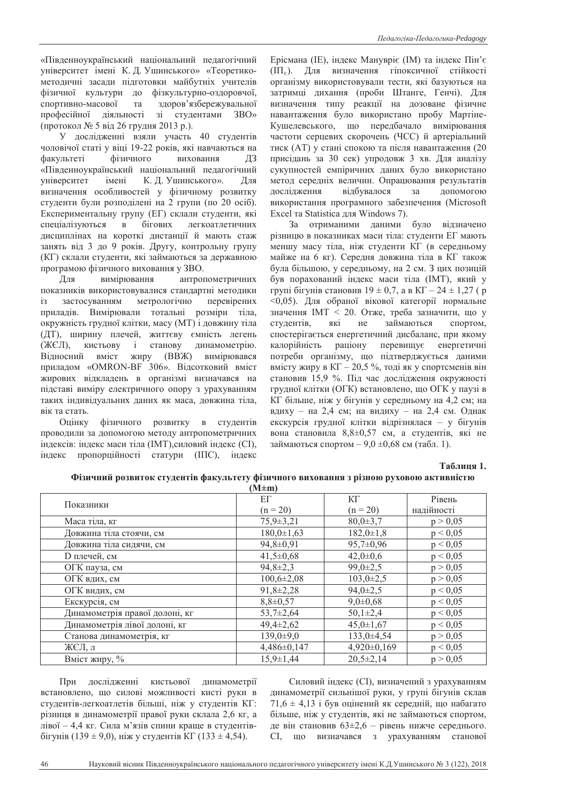«Південноукраїнський національний педагогічний університет імені К. Д. Ушинського» «Теоретикометодичні засади підготовки майбутніх учителів фізичної культури до фізкультурно-оздоровчої, спортивно-масової та здоров'язбережувальної професійної діяльності зі студентами ЗВО» (протокол № 5 від 26 грудня 2013 р.).

У дослідженні взяли участь 40 студентів чоловічої статі у віці 19-22 років, які навчаються на факультеті фізичного виховання ДЗ «Південноукраїнський національний педагогічний університет імені К. Д. Ушинського». Для визначення особливостей у фізичному розвитку студенти були розподілені на 2 групи (по 20 осіб). Експериментальну групу (ЕГ) склали студенти, які спеціалізуються в бігових легкоатлетичних дисциплінах на короткі дистанції й мають стаж занять від 3 до 9 років. Другу, контрольну групу (КГ) склали стуленти, які займаються за лержавною програмою фізичного виховання у ЗВО.

Для вимірювання антропометричних показників використовувалися стандартні методики із застосуванням метрологічно перевірених приладів. Вимірювали тотальні розміри тіла, окружність грудної клітки, масу (МТ) і довжину тіла (ДТ), ширину плечей, життєву ємність легень (ЖЄЛ), кистьову і станову динамометрію. Відносний вміст жиру (ВВЖ) вимірювався приладом «ОМRON-ВF 306». Відсотковий вміст жирових відкладень в організмі визначався на підставі виміру електричного опору з урахуванням таких індивідуальних даних як маса, довжина тіла, вік та стать.

Оцінку фізичного розвитку в студентів проводили за допомогою методу антропометричних індексів: індекс маси тіла (IMT), силовий індекс (CI), індекс пропорційності статури (ІПС), індекс Ерісмана (IE), індекс Манувріє (IM) та індекс Пін'є (III<sub>c</sub>). Для визначення гіпоксичної стійкості організму використовували тести, які базуються на затримці дихання (проби Штанге, Генчі). Для визначення типу реакції на дозоване фізичне навантаження було використано пробу Мартіне-Кушелевського, що передбачало вимірювання частоти серцевих скорочень (ЧСС) й артеріальний тиск (АТ) у стані спокою та після навантаження (20 присідань за 30 сек) упродовж 3 хв. Для аналізу сукупностей емпіричних даних було використано метод середніх величин. Опрацювання результатів дослідження відбувалося за допомогою використання програмного забезпечення (Microsoft Excel та Statistica для Windows 7).

За отриманими даними було відзначено різницю в показниках маси тіла: студенти ЕГ мають меншу масу тіла, ніж студенти КГ (в середньому майже на 6 кг). Серелня ловжина тіла в КГ також була більшою, у середньому, на 2 см. 3 цих позицій був порахований індекс маси тіла (IMT), який у групі бігунів становив  $19 \pm 0.7$ , а в КГ $-24 \pm 1.27$  (р <0,05). Для обраної вікової категорії нормальне значення IMT < 20. Отже, треба зазначити, що у студентів, які не займаються спортом, спостерігається енергетичний дисбаланс, при якому калорійність раціону перевищує енергетичні потреби організму, що підтверджується даними вмісту жиру в КГ $-20,5$  %, тоді як у спортсменів він становив 15,9 %. Під час дослідження окружності грудної клітки (ОГК) встановлено, що ОГК у паузі в КГ більше, ніж у бігунів у середньому на 4,2 см; на вдиху – на 2,4 см; на видиху – на 2,4 см. Однак екскурсія грудної клітки відрізнялася – у бігунів вона становила  $8,8\pm0,57$  см, а студентів, які не займаються спортом –  $9.0 \pm 0.68$  см (табл. 1).

#### $Ta6$ лиця 1.

# Фізичний розвиток студентів факультету фізичного виховання з різною руховою активністю

| $(M \pm m)$                    |                   |                 |            |  |  |  |
|--------------------------------|-------------------|-----------------|------------|--|--|--|
| Показники                      | ЕΓ                | КΓ              | Рівень     |  |  |  |
|                                | $(n = 20)$        | $(n = 20)$      | надійності |  |  |  |
| Маса тіла, кг                  | $75,9 \pm 3,21$   | $80,0\pm3,7$    | p > 0,05   |  |  |  |
| Довжина тіла стоячи, см        | $180,0 \pm 1,63$  | $182,0 \pm 1,8$ | p < 0,05   |  |  |  |
| Довжина тіла сидячи, см        | 94,8±0,91         | $95,7\pm0,96$   | p < 0,05   |  |  |  |
| D плечей, см                   | $41,5 \pm 0.68$   | $42,0 \pm 0,6$  | p < 0,05   |  |  |  |
| ОГК пауза, см                  | $94,8 \pm 2,3$    | $99,0 \pm 2,5$  | p > 0,05   |  |  |  |
| ОГК вдих, см                   | $100,6 \pm 2,08$  | $103,0\pm2,5$   | p > 0,05   |  |  |  |
| ОГК видих, см                  | $91,8 \pm 2,28$   | $94,0 \pm 2,5$  | p < 0,05   |  |  |  |
| Екскурсія, см                  | $8,8+0,57$        | $9,0\pm0,68$    | p < 0,05   |  |  |  |
| Динамометрія правої долоні, кг | $53,7+2,64$       | $50,1\pm2,4$    | p < 0.05   |  |  |  |
| Динамометрія лівої долоні, кг  | $49,4\pm2,62$     | $45,0 \pm 1,67$ | p < 0.05   |  |  |  |
| Станова динамометрія, кг       | $139,0+9,0$       | $133,0+4,54$    | p > 0,05   |  |  |  |
| ЖЄЛ, л                         | $4,486 \pm 0,147$ | $4,920\pm0,169$ | p < 0,05   |  |  |  |
| Вміст жиру, %                  | $15,9 \pm 1,44$   | $20,5\pm2,14$   | p > 0,05   |  |  |  |

При дослідженні кистьової динамометрії встановлено, що силові можливості кисті руки в студентів-легкоатлетів більші, ніж у студентів КГ: різниця в динамометрії правої руки склала 2,6 кг, а лівої – 4,4 кг. Сила м'язів спини краще в студентів- $\overline{6}$ ігунів (139 ± 9,0), ніж у студентів КГ (133 ± 4,54).

Силовий індекс (CI), визначений з урахуванням динамометрії сильнішої руки, у групі бігунів склав  $71,6 \pm 4,13$  і був оцінений як середній, що набагато більше, ніж у студентів, які не займаються спортом, де він становив 63±2,6 – рівень нижче середнього. СI, що визначався з урахуванням станової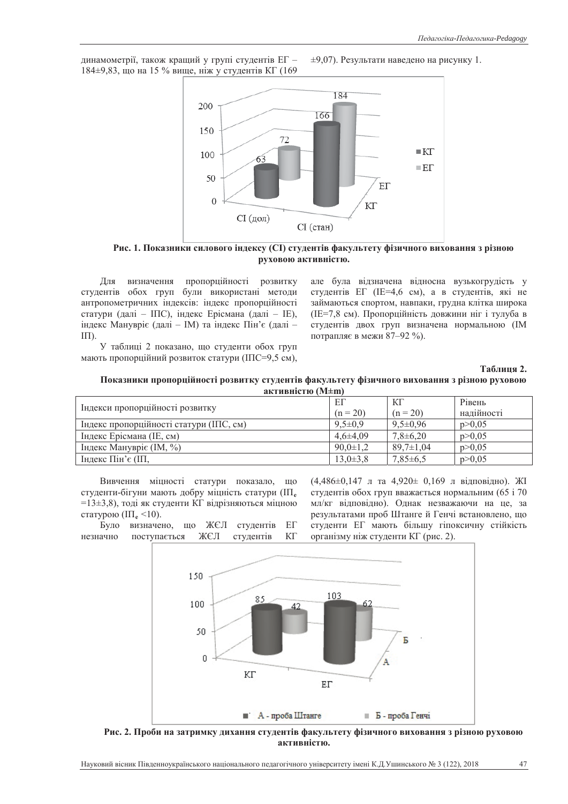динамометрії, також кращий у групі студентів ЕГ -184±9,83, що на 15 % вище, ніж у студентів КГ (169  $±9,07$ ). Результати наведено на рисунку 1.



Рис. 1. Показники силового індексу (СІ) студентів факультету фізичного виховання з різною  $p$ уховою активністю.

Для визначення пропорційності розвитку студентів обох груп були використані методи антропометричних індексів: індекс пропорційності статури (далі – ІПС), індекс Ерісмана (далі – ІЕ), індекс Манувріє (далі – IM) та індекс Пін'є (далі –  $\text{III}$ ).

У таблиці 2 показано, що студенти обох груп мають пропорційний розвиток статури (ІПС=9,5 см), але була відзначена відносна вузькогрудість у студентів ЕГ (IE=4,6 см), а в студентів, які не займаються спортом, навпаки, грудна клітка широка (IE=7,8 см). Пропорційність довжини ніг і тулуба в студентів двох груп визначена нормальною (IM потрапляє в межи 87-92 %).

 $Ta$ <sup>5</sup> лиця 2.

| Показники пропорційності розвитку студентів факультету фізичного виховання з різною руховою |                        |  |  |
|---------------------------------------------------------------------------------------------|------------------------|--|--|
|                                                                                             | активністю $(M \pm m)$ |  |  |

| Індекси пропорційності розвитку         | EΓ             | ΚГ              | Рівень     |  |  |
|-----------------------------------------|----------------|-----------------|------------|--|--|
|                                         | $(n = 20)$     | $(n = 20)$      | надійності |  |  |
| Індекс пропорційності статури (ІПС, см) | $9.5 \pm 0.9$  | $9,5\pm0.96$    | p > 0.05   |  |  |
| Індекс Ерісмана (IE, см)                | $4.6 \pm 4.09$ | $7,8+6,20$      | p > 0.05   |  |  |
| Індекс Манувріє (IM, $\%$ )             | $90,0 \pm 1,2$ | $89.7 \pm 1.04$ | p > 0.05   |  |  |
| Iндекс Пін'є (IП,                       | $13.0 \pm 3.8$ | $7,85\pm6,5$    | p > 0.05   |  |  |

Вивчення міцності статури показало, що студенти-бігуни мають добру міцність статури (III<sub>e</sub>  $=13\pm3.8$ ), тоді як студенти КГ відрізняються міцною статурою  $(\Pi_{\epsilon} \leq 10)$ .

Було визначено, що ЖЄЛ студентів ЕГ незначно поступається ЖЄЛ студентів КГ

 $(4,486\pm0,147)$ л та  $4,920\pm0,169$  л відповідно). ЖІ студентів обох груп вважається нормальним (65 і 70 мл/кг відповідно). Однак незважаючи на це, за результатами проб Штанге й Генчі встановлено, що студенти ЕГ мають більшу гіпоксичну стійкість організму ніж студенти КГ (рис. 2).



Рис. 2. Проби на затримку дихання студентів факультету фізичного виховання з різною руховою  $a$ ктивністю.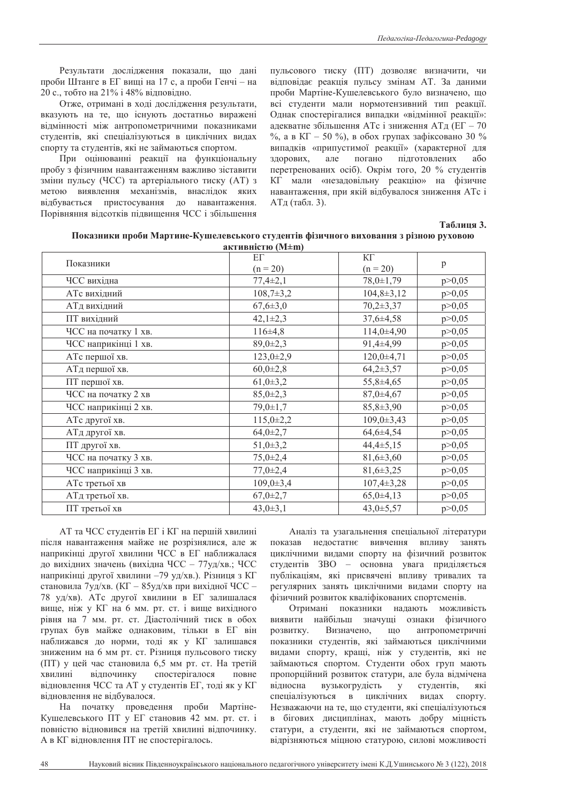Результати дослідження показали, що дані проби Штанге в ЕГ вищі на 17 с, а проби Генчі – на 20 с., тобто на 21% і 48% відповідно.

Отже, отримані в ході дослідження результати, вказують на те, що існують достатньо виражені відмінності між антропометричними показниками студентів, які спеціалізуються в циклічних видах спорту та студентів, які не займаються спортом.

При оцінюванні реакції на функціональну пробу з фізичним навантаженням важливо зіставити зміни пульсу (ЧСС) та артеріального тиску (АТ) з метою виявлення механізмів, внаслідок яких відбувається пристосування до навантаження. Порівняння відсотків підвищення ЧСС і збільшення пульсового тиску (ПТ) дозволяє визначити, чи **відповідає реакція пульсу змінам АТ. За даними** проби Мартіне-Кушелевського було визначено, що всі студенти мали нормотензивний тип реакції. Однак спостерігалися випадки «відмінної реакції»: адекватне збільшення АТс і зниження АТд (ЕГ – 70  $\%$ , а в КГ – 50 %), в обох групах зафіксовано 30 % випадків «припустимої реакції» (характерної для здорових, але погано підготовлених або перетренованих осіб). Окрім того, 20 % студентів КГ мали «незадовільну реакцію» на фізичне навантаження, при якій відбувалося зниження АТс і АТд (табл. 3).

## $Ta6$ лиця 3.

| Показники проби Мартине-Кушелевського студентів фізичного виховання з різною руховою |
|--------------------------------------------------------------------------------------|
| активністю (M±m)                                                                     |

| Показники            | $E\Gamma$       | ΚГ               |          |
|----------------------|-----------------|------------------|----------|
|                      | $(n = 20)$      | $(n = 20)$       | p        |
| ЧСС вихідна          | $77,4\pm 2,1$   | $78,0 \pm 1,79$  | p > 0,05 |
| АТс вихідний         | $108,7\pm3,2$   | $104,8 \pm 3,12$ | p > 0,05 |
| АТд вихідний         | $67,6 \pm 3,0$  | $70,2\pm3,37$    | p > 0,05 |
| ПТ вихідний          | $42,1\pm2,3$    | $37,6+4,58$      | p > 0,05 |
| ЧСС на початку 1 хв. | $116\pm4.8$     | $114,0+4,90$     | p > 0,05 |
| ЧСС наприкінці 1 хв. | $89,0 \pm 2,3$  | 91,4±4,99        | p > 0,05 |
| АТс першої хв.       | $123,0+2,9$     | $120,0+4,71$     | p > 0,05 |
| АТд першої хв.       | $60,0{\pm}2,8$  | $64,2{\pm}3,57$  | p > 0,05 |
| ПТ першої хв.        | $61,0\pm3,2$    | 55,8±4,65        | p > 0,05 |
| ЧСС на початку 2 хв  | $85,0+2,3$      | $87,0\pm4,67$    | p > 0,05 |
| ЧСС наприкінці 2 хв. | $79,0 \pm 1,7$  | $85,8+3,90$      | p > 0,05 |
| АТс другої хв.       | $115,0+2,2$     | $109,0 \pm 3,43$ | p > 0,05 |
| АТд другої хв.       | $64,0{\pm}2,7$  | $64,6+4,54$      | p > 0,05 |
| ПТ другої хв.        | $51,0+3,2$      | $44,4\pm5,15$    | p > 0,05 |
| ЧСС на початку 3 хв. | $75,0+2,4$      | $81,6 \pm 3,60$  | p > 0,05 |
| ЧСС наприкінці 3 хв. | $77,0 \pm 2,4$  | $81,6+3,25$      | p > 0,05 |
| АТс третьої хв       | $109,0 \pm 3,4$ | $107,4\pm3,28$   | p > 0,05 |
| АТд третьої хв.      | $67,0{\pm}2,7$  | $65,0\pm4,13$    | p > 0,05 |
| ПТ третьої хв        | $43,0 \pm 3,1$  | 43,0±5,57        | p > 0,05 |

АТ та ЧСС студентів ЕГ і КГ на першій хвилині після навантаження майже не розрізнялися, але ж наприкінці другої хвилини ЧСС в ЕГ наближалася до вихідних значень (вихідна ЧСС – 77 уд/хв.; ЧСС наприкінці другої хвилини -79 уд/хв.). Різниця з КГ становила 7уд/хв. (КГ – 85уд/хв при вихідної ЧСС – 78 уд/хв). АТс другої хвилини в ЕГ залишалася вище, ніж у КГ на 6 мм. рт. ст. і вище вихідного рівня на 7 мм. рт. ст. Діастолічний тиск в обох групах був майже однаковим, тільки в ЕГ він наближався до норми, тоді як у КГ залишався зниженим на 6 мм рт. ст. Різниця пульсового тиску (ПТ) у цей час становила 6,5 мм рт. ст. На третій хвилині відпочинку спостерігалося повне вілновлення ЧСС та АТ у стулентів ЕГ, толі як у КГ відновлення не відбувалося.

На початку проведення проби Мартіне-Кушелевського ПТ у ЕГ становив 42 мм, рт. ст. і повністю відновився на третій хвилині відпочинку. А в КГ відновлення ПТ не спостерігалось.

Аналіз та узагальнення спеціальної літератури показав недостатнє вивчення впливу занять циклічними видами спорту на фізичний розвиток студентів ЗВО – основна увага приділяється публікаціям, які присвячені впливу тривалих та регулярних занять циклічними видами спорту на фізичний розвиток кваліфікованих спортсменів.

Отримані показники надають можливість виявити найбільш значуші ознаки фізичного розвитку. Визначено, що антропометричні показники студентів, які займаються циклічними видами спорту, кращі, ніж у студентів, які не займаються спортом. Студенти обох груп мають пропорційний розвиток статури, але була відмічена відносна вузькогрудість у студентів, які спеціалізуються в циклічних видах спорту. Незважаючи на те, що студенти, які спеціалізуються в бігових дисциплінах, мають добру міцність статури, а студенти, які не займаються спортом, відрізняються міцною статурою, силові можливості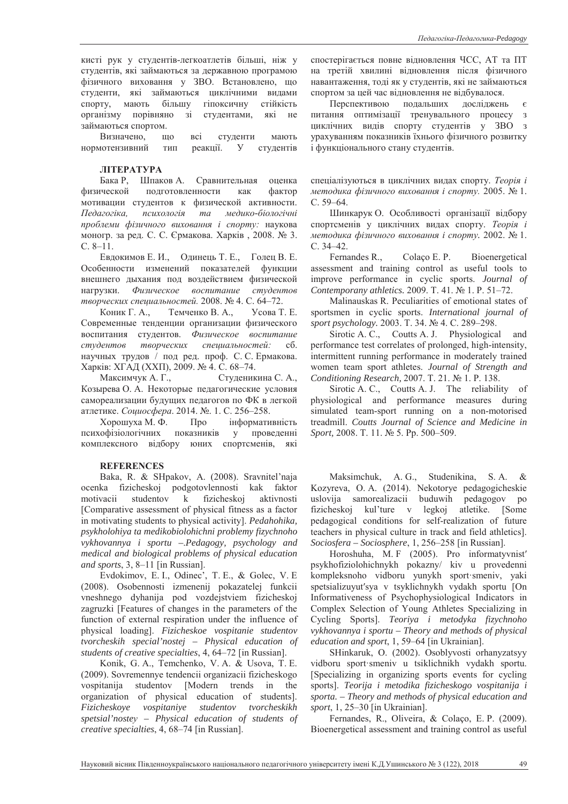кисті рук у студентів-легкоатлетів більші, ніж у студентів, які займаються за державною програмою фізичного виховання у ЗВО. Встановлено, що студенти, які займаються циклічними видами спорту, мають більшу гіпоксичну стійкість організму порівняно зі студентами, які не займаються спортом.

Визначено, що всі студенти мають нормотензивний тип реакції. У студентів

#### **JITEPATYPA**

Бака Р, Шпаков А. Сравнительная оценка физической подготовленности как фактор мотивации студентов к физической активности.  $\Pi$ едагогіка, психологія та медико-біологічні проблеми фізичного виховання *і спорту*: наукова моногр. за ред. С. С. Єрмакова. Харків, 2008. № 3.  $C. 8-11.$ 

Евдокимов Е. И., Одинець Т. Е., Голец В. Е. Особенности изменений показателей функции внешнего лыхания под возлействием физической нагрузки. Физическое воспитание студентов *творческих специальностей.* 2008. № 4. С. 64–72.

Коник Г. А., Темченко В. А., Усова Т. Е. Современные тенденции организации физического воспитания студентов. Физическое воспитание студентов творческих специальностей: сб. научных трудов / под ред. проф. С. С. Ермакова. Харків: ХГАД (ХХП), 2009. № 4. С. 68-74.

Максимчук А. Г., Студеникина С. А., Козырева О. А. Некоторые педагогические условия самореализации будущих педагогов по ФК в легкой атлетике. *Социосфера*. 2014. №. 1. С. 256–258.

Хорошуха М. Ф. Про інформативність психофізіологічних показників у проведенні комплексного відбору юних спортсменів, які

#### **REFERENCES**

Baka, R. & SHpakov, A. (2008). Sravnitel'naja ocenka fizicheskoj podgotovlennosti kak faktor motivacii studentov k fizicheskoj aktivnosti [Comparative assessment of physical fitness as a factor in motivating students to physical activity]. *Pedahohika, psykholohiya ta medikobiolohichni problemy fizychnoho vykhovannya i sportu –*.*Pedagogy, psychology and medical and biological problems of physical education and sports*, 3, 8–11 [in Russian].

Evdokimov, E. I., Odinec', T. E., & Golec, V. E (2008). Osobennosti izmenenij pokazatelej funkcii vneshnego dyhanija pod vozdejstviem fizicheskoj zagruzki [Features of changes in the parameters of the function of external respiration under the influence of physical loading]. *Fizicheskoe vospitanie studentov tvorcheskih special'nostej – Physical education of students of creative specialties*, 4, 64–72 [in Russian].

Konik, G. A., Temchenko, V. A. & Usova, T. E. (2009). Sovremennye tendencii organizacii fizicheskogo vospitanija studentov [Modern trends in the organization of physical education of students]. *Fizicheskoye vospitaniye studentov tvorcheskikh spetsial'nosteɭ – Physical education of students of creative specialties*, 4, 68–74 [in Russian].

спостерігається повне відновлення ЧСС, АТ та ПТ на третій хвилині відновлення після фізичного навантаження, тоді як у студентів, які не займаються спортом за цей час відновлення не відбувалося.

Перспективою подальших досліджень є питання оптимізації тренувального процесу з циклічних видів спорту студентів у ЗВО з урахуванням показників їхнього фізичного розвитку і функціонального стану студентів.

спеціалізуються в циклічних видах спорту. Теорія і *методика фізичного виховання і спорту.* 2005. №1. C. 59–64.

Шинкарук О. Особливості організації відбору спортсменів у циклічних видах спорту. Теорія і *методика фізичного виховання і спорту.* 2002. № 1. ɋ. 34–42.

Fernandes R., Colaço E. P. Bioenergetical assessment and training control as useful tools to improve performance in cyclic sports. *Journal of Contemporany athletics.* 2009. T. 41. № 1. P. 51–72.

Malinauskas R. Peculiarities of emotional states of sportsmen in cyclic sports. *International journal of*  sport psychology. 2003. T. 34. № 4. C. 289-298.

Sirotic A. C., Coutts A. J. Physiological and performance test correlates of prolonged, high-intensity, intermittent running performance in moderately trained women team sport athletes. *Journal of Strength and Conditioning Research, 2007. T. 21. No 1. P. 138.* 

Sirotic A. C., Coutts A. J. The reliability of physiological and performance measures during simulated team-sport running on a non-motorised treadmill. *Coutts Journal of Science and Medicine in Sport,* 2008. T. 11.  $\mathbb{N}$  5. Pp. 500–509.

Maksimchuk, A. G., Studenikina, S. A. & Kozyreva, O. A. (2014). Nekotorye pedagogicheskie uslovija samorealizacii buduwih pedagogov po fizicheskoj kul'ture v legkoj atletike. [Some pedagogical conditions for self-realization of future teachers in physical culture in track and field athletics]. *Sociosfera – Sociosphere*, 1, 256–258 [in Russian].

Horoshuha, M.F (2005). Pro informatyvnist' psykhofiziolohichnykh pokazny/ kiv u provedenni kompleksnoho vidboru yunykh sport·smeniv, yaki spetsializuvut'sva v tsyklichnykh vydakh sportu [On Informativeness of Psychophysiological Indicators in Complex Selection of Young Athletes Specializing in Cycling Sports]. *Teoriya i metodyka fizychnoho vykhovannya i sportu – Theory and methods of physical education and sport*, 1, 59–64 [in Ukrainian].

SHinkaruk, O. (2002). Osoblyvosti orhanyzatsyy vidboru sport·smeniv u tsiklichnikh vydakh sportu. [Specializing in organizing sports events for cycling sports]. *Teorija i metodika fizicheskogo vospitanija i sporta. – Theory and methods of physical education and sport*, 1, 25–30 [in Ukrainian].

Fernandes, R., Oliveira, & Colaço, E. P. (2009). Bioenergetical assessment and training control as useful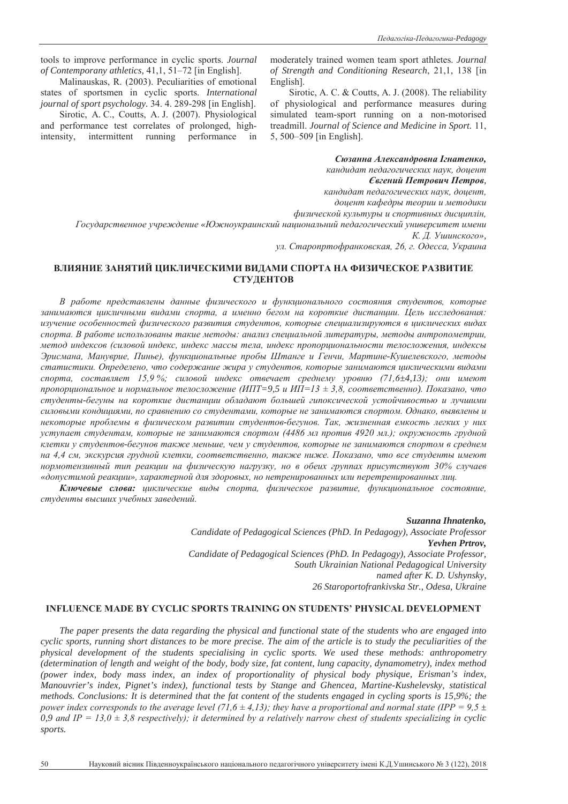tools to improve performance in cyclic sports. *Journal of Contemporany athletics,* 41,1, 51–72 [in English].

Malinauskas, R. (2003). Peculiarities of emotional states of sportsmen in cyclic sports. *International journal of sport psychology.* 34. 4. 289-298 [in English].

Sirotic, A. C., Coutts, A. J. (2007). Physiological and performance test correlates of prolonged, highintensity, intermittent running performance in moderately trained women team sport athletes. *Journal of Strength and Conditioning Research*, 21,1, 138 [in English].

Sirotic, A. C. & Coutts, A. J. (2008). The reliability of physiological and performance measures during simulated team-sport running on a non-motorised treadmill. *Journal of Science and Medicine in Sport.* 11, 5, 500–509 [in English].

Сюзанна Александровна Ігнатенко, **кандидат педагогических наук, доцент** *ȯɜɝɟɧɢɣɉɟɬɪɨɜɢɱɉɟɬɪɨɜ,* **кандидат педагогических наук, доцент,** доцент кафедры теории и методики физической культуры и спортивных дисциплін, *Ƚɨɫɭɞɚɪɫɬɜɟɧɧɨɟɭɱɪɟɠɞɟɧɢɟ«ɘɠɧɨɭɤɪɚɢɧɫɤɢɣ ɧɚɰɢɨɧɚɥɶɧɢɣɩɟɞɚɝɨɝɢɱɟɫɤɢɣɭɧɢɜɟɪɫɢɬɟɬɢɦɟɧɢ К. Д. Ушинского»*,

ул. Старопртофранковская, 26, г. Одесса, Украина

# ВЛИЯНИЕ ЗАНЯТИЙ ПИКЛИЧЕСКИМИ ВИЛАМИ СПОРТА НА ФИЗИЧЕСКОЕ РАЗВИТИЕ **СТУДЕНТОВ**

В работе представлены данные физического и функционального состояния студентов, которые занимаются цикличными видами спорта, а именно бегом на короткие дистанции. Цель исследования: изучение особенностей физического развития студентов, которые специализируются в циклических видах спорта. В работе использованы такие методы: анализ специальной литературы, методы антропометрии, метод индексов (силовой индекс, индекс массы тела, индекс пропорциональности телосложения, индексы Эрисмана, Мануврие, Пинье), функииональные пробы Штанге и Генчи, Мартине-Кушелевского, методы статистики. Определено, что содержание жира у студентов, которые занимаются ииклическими видами спорта, составляет 15,9%; силовой индекс отвечает среднему уровню (71,6±4,13); они имеют пропорциональное и нормальное телосложение (ИПТ=9,5 и ИП=13 ± 3,8, соответственно). Показано, что студенты-бегуны на короткие дистанции обладают большей гипоксической устойчивостью и лучшими силовыми кондициями, по сравнению со студентами, которые не занимаются спортом. Однако, выявлены и некоторые проблемы в физическом развитии студентов-бегунов. Так, жизненная емкость легких у них <sup>1</sup> уступает студентам, которые не занимаются спортом (4486 мл против 4920 мл.); окружность грудной илетки у студентов-бегунов также меньше, чем у студентов, которые не занимаются спортом в среднем на 4,4 см, экскурсия грудной клетки, соответственно, также ниже. Показано, что все студенты имеют нормотензивный тип реакции на физическую нагрузку, но в обеих группах присутствуют 30% случаев «допустимой реакции», характерной для здоровых, но нетренированных или перетренированных лиц.

Ключевые слова: ииклические виды спорта, физическое развитие, функииональное состояние, студенты высших учебных заведений.

> *Suzanna Ihnatenko, Candidate of Pedagogical Sciences (PhD. In Pedagogy), Associate Professor Yevhen Prtrov, Candidate of Pedagogical Sciences (PhD. In Pedagogy), Associate Professor, South Ukrainian National Pedagogical University named after K. D. Ushynsky, 26 Staroportofrankivska Str., Odesa, Ukraine*

### **INFLUENCE MADE BY CYCLIC SPORTS TRAINING ON STUDENTS' PHYSICAL DEVELOPMENT**

*The paper presents the data regarding the physical and functional state of the students who are engaged into cyclic sports, running short distances to be more precise. The aim of the article is to study the peculiarities of the physical development of the students specialising in cyclic sports. We used these methods: anthropometry (determination of length and weight of the body, body size, fat content, lung capacity, dynamometry), index method (power index, body mass index, an index of proportionality of physical body physique, Erisman's index, Manouvrier's index, Pignet's index), functional tests by Stange and Ghencea, Martine-Kushelevsky, statistical methods. Conclusions: It is determined that the fat content of the students engaged in cycling sports is 15,9%; the power index corresponds to the average level (71,6*  $\pm$  *4,13); they have a proportional and normal state (IPP = 9,5*  $\pm$ 0,9 and IP = 13,0  $\pm$  3,8 respectively); it determined by a relatively narrow chest of students specializing in cyclic *sports.*